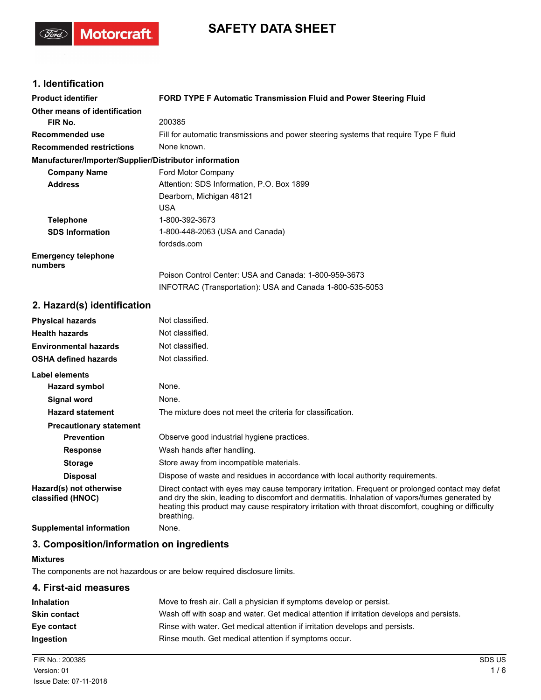# **SAFETY DATA SHEET**

# **1. Identification**

(Ford)

Motorcraft.

| <b>Product identifier</b>                              | <b>FORD TYPE F Automatic Transmission Fluid and Power Steering Fluid</b>              |  |
|--------------------------------------------------------|---------------------------------------------------------------------------------------|--|
| Other means of identification                          |                                                                                       |  |
| FIR No.                                                | 200385                                                                                |  |
| Recommended use                                        | Fill for automatic transmissions and power steering systems that require Type F fluid |  |
| <b>Recommended restrictions</b>                        | None known.                                                                           |  |
| Manufacturer/Importer/Supplier/Distributor information |                                                                                       |  |
| <b>Company Name</b>                                    | Ford Motor Company                                                                    |  |
| <b>Address</b>                                         | Attention: SDS Information, P.O. Box 1899                                             |  |
|                                                        | Dearborn, Michigan 48121                                                              |  |
|                                                        | USA.                                                                                  |  |
| <b>Telephone</b>                                       | 1-800-392-3673                                                                        |  |
| <b>SDS Information</b>                                 | 1-800-448-2063 (USA and Canada)                                                       |  |
|                                                        | fordsds.com                                                                           |  |
| <b>Emergency telephone</b><br>numbers                  |                                                                                       |  |
|                                                        | Poison Control Center: USA and Canada: 1-800-959-3673                                 |  |
|                                                        | INFOTRAC (Transportation): USA and Canada 1-800-535-5053                              |  |
| 2. Hazard(s) identification                            |                                                                                       |  |

| <b>Physical hazards</b>                      | Not classified.                                                                                                                                                                                                                                                                                                           |  |
|----------------------------------------------|---------------------------------------------------------------------------------------------------------------------------------------------------------------------------------------------------------------------------------------------------------------------------------------------------------------------------|--|
| <b>Health hazards</b>                        | Not classified.                                                                                                                                                                                                                                                                                                           |  |
| <b>Environmental hazards</b>                 | Not classified.                                                                                                                                                                                                                                                                                                           |  |
| <b>OSHA defined hazards</b>                  | Not classified.                                                                                                                                                                                                                                                                                                           |  |
| Label elements                               |                                                                                                                                                                                                                                                                                                                           |  |
| Hazard symbol                                | None.                                                                                                                                                                                                                                                                                                                     |  |
| Signal word                                  | None.                                                                                                                                                                                                                                                                                                                     |  |
| <b>Hazard statement</b>                      | The mixture does not meet the criteria for classification.                                                                                                                                                                                                                                                                |  |
| <b>Precautionary statement</b>               |                                                                                                                                                                                                                                                                                                                           |  |
| <b>Prevention</b>                            | Observe good industrial hygiene practices.                                                                                                                                                                                                                                                                                |  |
| <b>Response</b>                              | Wash hands after handling.                                                                                                                                                                                                                                                                                                |  |
| <b>Storage</b>                               | Store away from incompatible materials.                                                                                                                                                                                                                                                                                   |  |
| <b>Disposal</b>                              | Dispose of waste and residues in accordance with local authority requirements.                                                                                                                                                                                                                                            |  |
| Hazard(s) not otherwise<br>classified (HNOC) | Direct contact with eyes may cause temporary irritation. Frequent or prolonged contact may defat<br>and dry the skin, leading to discomfort and dermatitis. Inhalation of vapors/fumes generated by<br>heating this product may cause respiratory irritation with throat discomfort, coughing or difficulty<br>breathing. |  |
| Supplemental information                     | None.                                                                                                                                                                                                                                                                                                                     |  |

# **3. Composition/information on ingredients**

#### **Mixtures**

The components are not hazardous or are below required disclosure limits.

## **4. First-aid measures**

| <b>Inhalation</b>   | Move to fresh air. Call a physician if symptoms develop or persist.                      |  |
|---------------------|------------------------------------------------------------------------------------------|--|
| <b>Skin contact</b> | Wash off with soap and water. Get medical attention if irritation develops and persists. |  |
| Eye contact         | Rinse with water. Get medical attention if irritation develops and persists.             |  |
| <b>Ingestion</b>    | Rinse mouth. Get medical attention if symptoms occur.                                    |  |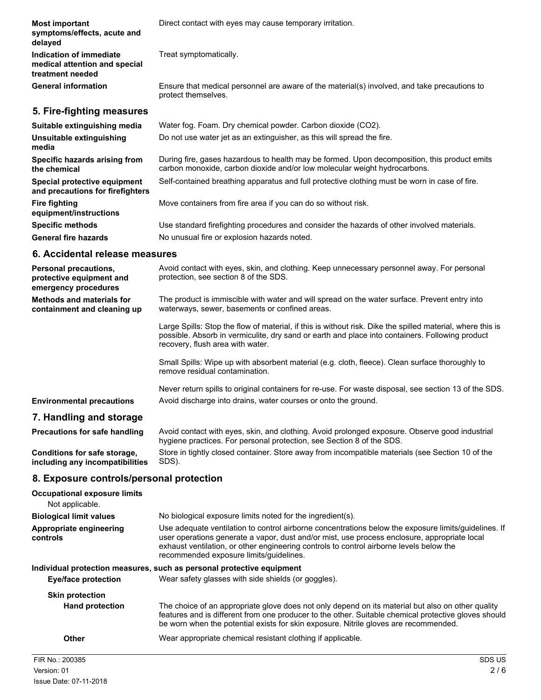| <b>Most important</b><br>symptoms/effects, acute and<br>delayed              | Direct contact with eyes may cause temporary irritation.                                                                                                                  |
|------------------------------------------------------------------------------|---------------------------------------------------------------------------------------------------------------------------------------------------------------------------|
| Indication of immediate<br>medical attention and special<br>treatment needed | Treat symptomatically.                                                                                                                                                    |
| <b>General information</b>                                                   | Ensure that medical personnel are aware of the material(s) involved, and take precautions to<br>protect themselves.                                                       |
| 5. Fire-fighting measures                                                    |                                                                                                                                                                           |
| Suitable extinguishing media                                                 | Water fog. Foam. Dry chemical powder. Carbon dioxide (CO2).                                                                                                               |
| Unsuitable extinguishing<br>media                                            | Do not use water jet as an extinguisher, as this will spread the fire.                                                                                                    |
| Specific hazards arising from<br>the chemical                                | During fire, gases hazardous to health may be formed. Upon decomposition, this product emits<br>carbon monoxide, carbon dioxide and/or low molecular weight hydrocarbons. |
| Special protective equipment<br>and precautions for firefighters             | Self-contained breathing apparatus and full protective clothing must be worn in case of fire.                                                                             |
| <b>Fire fighting</b><br>equipment/instructions                               | Move containers from fire area if you can do so without risk.                                                                                                             |
| <b>Specific methods</b>                                                      | Use standard firefighting procedures and consider the hazards of other involved materials.                                                                                |
| <b>General fire hazards</b>                                                  | No unusual fire or explosion hazards noted.                                                                                                                               |
| 6. Accidental release measures                                               |                                                                                                                                                                           |

| <b>Personal precautions,</b><br>protective equipment and<br>emergency procedures | Avoid contact with eyes, skin, and clothing. Keep unnecessary personnel away. For personal<br>protection, see section 8 of the SDS.                                                                                                               |
|----------------------------------------------------------------------------------|---------------------------------------------------------------------------------------------------------------------------------------------------------------------------------------------------------------------------------------------------|
| <b>Methods and materials for</b><br>containment and cleaning up                  | The product is immiscible with water and will spread on the water surface. Prevent entry into<br>waterways, sewer, basements or confined areas.                                                                                                   |
|                                                                                  | Large Spills: Stop the flow of material, if this is without risk. Dike the spilled material, where this is<br>possible. Absorb in vermiculite, dry sand or earth and place into containers. Following product<br>recovery, flush area with water. |
|                                                                                  | Small Spills: Wipe up with absorbent material (e.g. cloth, fleece). Clean surface thoroughly to<br>remove residual contamination.                                                                                                                 |
|                                                                                  | Never return spills to original containers for re-use. For waste disposal, see section 13 of the SDS.                                                                                                                                             |
| <b>Environmental precautions</b>                                                 | Avoid discharge into drains, water courses or onto the ground.                                                                                                                                                                                    |
| 7. Handling and storage                                                          |                                                                                                                                                                                                                                                   |

#### Avoid contact with eyes, skin, and clothing. Avoid prolonged exposure. Observe good industrial hygiene practices. For personal protection, see Section 8 of the SDS. **Precautions for safe handling** Store in tightly closed container. Store away from incompatible materials (see Section 10 of the

SDS). **Conditions for safe storage, including any incompatibilities**

# **8. Exposure controls/personal protection**

| <b>Occupational exposure limits</b><br>Not applicable. |                                                                                                                                                                                                                                                                                                                                            |  |
|--------------------------------------------------------|--------------------------------------------------------------------------------------------------------------------------------------------------------------------------------------------------------------------------------------------------------------------------------------------------------------------------------------------|--|
| <b>Biological limit values</b>                         | No biological exposure limits noted for the ingredient(s).                                                                                                                                                                                                                                                                                 |  |
| Appropriate engineering<br>controls                    | Use adequate ventilation to control airborne concentrations below the exposure limits/quidelines. If<br>user operations generate a vapor, dust and/or mist, use process enclosure, appropriate local<br>exhaust ventilation, or other engineering controls to control airborne levels below the<br>recommended exposure limits/quidelines. |  |
|                                                        | Individual protection measures, such as personal protective equipment                                                                                                                                                                                                                                                                      |  |
| Eye/face protection                                    | Wear safety glasses with side shields (or goggles).                                                                                                                                                                                                                                                                                        |  |
| <b>Skin protection</b>                                 |                                                                                                                                                                                                                                                                                                                                            |  |
| <b>Hand protection</b>                                 | The choice of an appropriate glove does not only depend on its material but also on other quality<br>features and is different from one producer to the other. Suitable chemical protective gloves should<br>be worn when the potential exists for skin exposure. Nitrile gloves are recommended.                                          |  |
| Other                                                  | Wear appropriate chemical resistant clothing if applicable.                                                                                                                                                                                                                                                                                |  |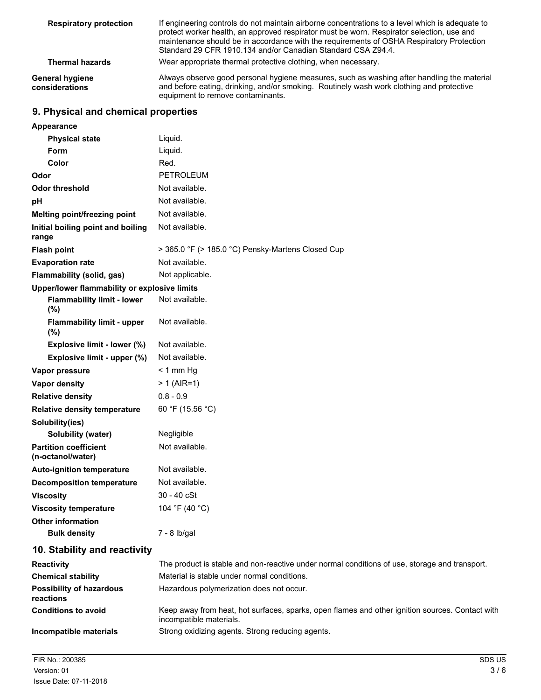| <b>Respiratory protection</b>     | If engineering controls do not maintain airborne concentrations to a level which is adequate to<br>protect worker health, an approved respirator must be worn. Respirator selection, use and<br>maintenance should be in accordance with the requirements of OSHA Respiratory Protection<br>Standard 29 CFR 1910.134 and/or Canadian Standard CSA Z94.4. |
|-----------------------------------|----------------------------------------------------------------------------------------------------------------------------------------------------------------------------------------------------------------------------------------------------------------------------------------------------------------------------------------------------------|
| <b>Thermal hazards</b>            | Wear appropriate thermal protective clothing, when necessary.                                                                                                                                                                                                                                                                                            |
| General hygiene<br>considerations | Always observe good personal hygiene measures, such as washing after handling the material<br>and before eating, drinking, and/or smoking. Routinely wash work clothing and protective<br>equipment to remove contaminants.                                                                                                                              |

## **9. Physical and chemical properties**

| Appearance                                        |                                                                                               |
|---------------------------------------------------|-----------------------------------------------------------------------------------------------|
| <b>Physical state</b>                             | Liquid.                                                                                       |
| Form                                              | Liquid.                                                                                       |
| Color                                             | Red.                                                                                          |
| Odor                                              | PETROLEUM                                                                                     |
| <b>Odor threshold</b>                             | Not available.                                                                                |
| pH                                                | Not available.                                                                                |
| Melting point/freezing point                      | Not available.                                                                                |
| Initial boiling point and boiling<br>range        | Not available.                                                                                |
| <b>Flash point</b>                                | > 365.0 °F (> 185.0 °C) Pensky-Martens Closed Cup                                             |
| <b>Evaporation rate</b>                           | Not available.                                                                                |
| <b>Flammability (solid, gas)</b>                  | Not applicable.                                                                               |
| Upper/lower flammability or explosive limits      |                                                                                               |
| <b>Flammability limit - lower</b><br>(%)          | Not available.                                                                                |
| <b>Flammability limit - upper</b><br>(%)          | Not available.                                                                                |
| Explosive limit - lower (%)                       | Not available.                                                                                |
| Explosive limit - upper (%)                       | Not available.                                                                                |
| Vapor pressure                                    | $<$ 1 mm Hg                                                                                   |
| <b>Vapor density</b>                              | $> 1$ (AIR=1)                                                                                 |
| <b>Relative density</b>                           | $0.8 - 0.9$                                                                                   |
| <b>Relative density temperature</b>               | 60 °F (15.56 °C)                                                                              |
| Solubility(ies)                                   |                                                                                               |
| <b>Solubility (water)</b>                         | Negligible                                                                                    |
| <b>Partition coefficient</b><br>(n-octanol/water) | Not available.                                                                                |
| <b>Auto-ignition temperature</b>                  | Not available.                                                                                |
| <b>Decomposition temperature</b>                  | Not available.                                                                                |
| <b>Viscosity</b>                                  | $30 - 40$ cSt                                                                                 |
| <b>Viscosity temperature</b>                      | 104 °F (40 °C)                                                                                |
| <b>Other information</b>                          |                                                                                               |
| <b>Bulk density</b>                               | 7 - 8 lb/gal                                                                                  |
| 10. Stability and reactivity                      |                                                                                               |
| Reactivity                                        | The product is stable and non-reactive under normal conditions of use, storage and transport. |
| <b>Chemical stability</b>                         | Material is stable under normal conditions.                                                   |
| <b>Possibility of hazardous</b><br>reactions      | Hazardous polymerization does not occur.                                                      |
| <b>Conditions to avoid</b>                        | Keep away from heat, hot surfaces, sparks, open flames and other ignition sources. Contact v  |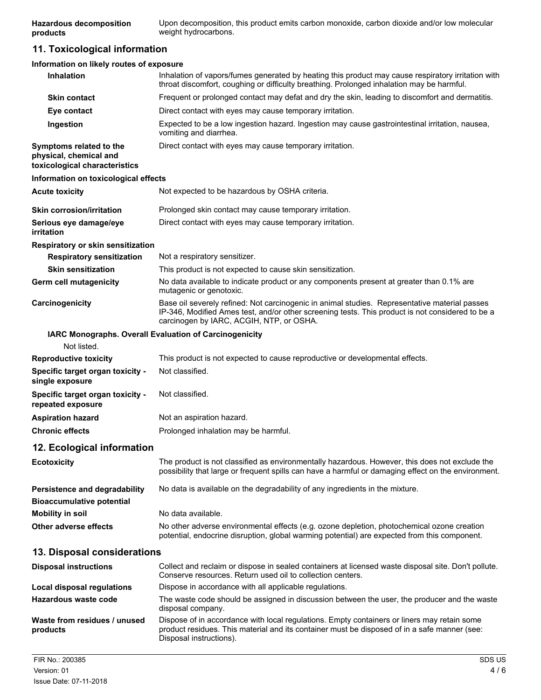Upon decomposition, this product emits carbon monoxide, carbon dioxide and/or low molecular weight hydrocarbons. **Hazardous decomposition products**

# **11. Toxicological information**

| Information on likely routes of exposure                                           |                                                                                                                                                                                                                                               |
|------------------------------------------------------------------------------------|-----------------------------------------------------------------------------------------------------------------------------------------------------------------------------------------------------------------------------------------------|
| Inhalation                                                                         | Inhalation of vapors/fumes generated by heating this product may cause respiratory irritation with<br>throat discomfort, coughing or difficulty breathing. Prolonged inhalation may be harmful.                                               |
| <b>Skin contact</b>                                                                | Frequent or prolonged contact may defat and dry the skin, leading to discomfort and dermatitis.                                                                                                                                               |
| Eye contact                                                                        | Direct contact with eyes may cause temporary irritation.                                                                                                                                                                                      |
| Ingestion                                                                          | Expected to be a low ingestion hazard. Ingestion may cause gastrointestinal irritation, nausea,<br>vomiting and diarrhea.                                                                                                                     |
| Symptoms related to the<br>physical, chemical and<br>toxicological characteristics | Direct contact with eyes may cause temporary irritation.                                                                                                                                                                                      |
| Information on toxicological effects                                               |                                                                                                                                                                                                                                               |
| <b>Acute toxicity</b>                                                              | Not expected to be hazardous by OSHA criteria.                                                                                                                                                                                                |
| <b>Skin corrosion/irritation</b>                                                   | Prolonged skin contact may cause temporary irritation.                                                                                                                                                                                        |
| Serious eye damage/eye<br>irritation                                               | Direct contact with eyes may cause temporary irritation.                                                                                                                                                                                      |
| Respiratory or skin sensitization                                                  |                                                                                                                                                                                                                                               |
| <b>Respiratory sensitization</b>                                                   | Not a respiratory sensitizer.                                                                                                                                                                                                                 |
| <b>Skin sensitization</b>                                                          | This product is not expected to cause skin sensitization.                                                                                                                                                                                     |
| <b>Germ cell mutagenicity</b>                                                      | No data available to indicate product or any components present at greater than 0.1% are<br>mutagenic or genotoxic.                                                                                                                           |
| Carcinogenicity                                                                    | Base oil severely refined: Not carcinogenic in animal studies. Representative material passes<br>IP-346, Modified Ames test, and/or other screening tests. This product is not considered to be a<br>carcinogen by IARC, ACGIH, NTP, or OSHA. |
| IARC Monographs. Overall Evaluation of Carcinogenicity                             |                                                                                                                                                                                                                                               |
| Not listed.                                                                        |                                                                                                                                                                                                                                               |
| <b>Reproductive toxicity</b>                                                       | This product is not expected to cause reproductive or developmental effects.                                                                                                                                                                  |
| Specific target organ toxicity -<br>single exposure                                | Not classified.                                                                                                                                                                                                                               |
| Specific target organ toxicity -<br>repeated exposure                              | Not classified.                                                                                                                                                                                                                               |
| <b>Aspiration hazard</b>                                                           | Not an aspiration hazard.                                                                                                                                                                                                                     |
| <b>Chronic effects</b>                                                             | Prolonged inhalation may be harmful.                                                                                                                                                                                                          |
| 12. Ecological information                                                         |                                                                                                                                                                                                                                               |
| <b>Ecotoxicity</b>                                                                 | The product is not classified as environmentally hazardous. However, this does not exclude the<br>possibility that large or frequent spills can have a harmful or damaging effect on the environment.                                         |
| Persistence and degradability<br><b>Bioaccumulative potential</b>                  | No data is available on the degradability of any ingredients in the mixture.                                                                                                                                                                  |
| <b>Mobility in soil</b>                                                            | No data available.                                                                                                                                                                                                                            |
| Other adverse effects                                                              | No other adverse environmental effects (e.g. ozone depletion, photochemical ozone creation<br>potential, endocrine disruption, global warming potential) are expected from this component.                                                    |
| 13. Disposal considerations                                                        |                                                                                                                                                                                                                                               |
| <b>Disposal instructions</b>                                                       | Collect and reclaim or dispose in sealed containers at licensed waste disposal site. Don't pollute.<br>Conserve resources. Return used oil to collection centers.                                                                             |
| Local disposal regulations                                                         | Dispose in accordance with all applicable regulations.                                                                                                                                                                                        |
| <b>Hazardous waste code</b>                                                        | The waste code should be assigned in discussion between the user, the producer and the waste<br>disposal company.                                                                                                                             |
| Waste from residues / unused<br>products                                           | Dispose of in accordance with local regulations. Empty containers or liners may retain some<br>product residues. This material and its container must be disposed of in a safe manner (see:<br>Disposal instructions).                        |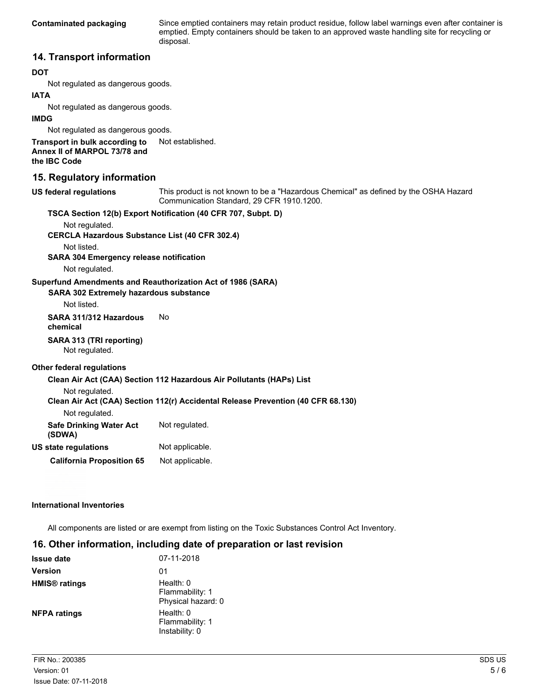**Contaminated packaging**

Since emptied containers may retain product residue, follow label warnings even after container is emptied. Empty containers should be taken to an approved waste handling site for recycling or disposal.

#### **14. Transport information**

#### **DOT**

Not regulated as dangerous goods.

#### **IATA**

Not regulated as dangerous goods.

#### **IMDG**

Not regulated as dangerous goods.

**Transport in bulk according to** Not established. **Annex II of MARPOL 73/78 and**

**the IBC Code**

#### **15. Regulatory information**

**US federal regulations**

This product is not known to be a "Hazardous Chemical" as defined by the OSHA Hazard Communication Standard, 29 CFR 1910.1200.

| Not regulated.                                                       | TSCA Section 12(b) Export Notification (40 CFR 707, Subpt. D)                    |
|----------------------------------------------------------------------|----------------------------------------------------------------------------------|
| <b>CERCLA Hazardous Substance List (40 CFR 302.4)</b><br>Not listed. |                                                                                  |
| <b>SARA 304 Emergency release notification</b><br>Not regulated.     |                                                                                  |
| <b>SARA 302 Extremely hazardous substance</b><br>Not listed.         | Superfund Amendments and Reauthorization Act of 1986 (SARA)                      |
| SARA 311/312 Hazardous<br>chemical                                   | Nο                                                                               |
| SARA 313 (TRI reporting)<br>Not regulated.                           |                                                                                  |
| Other federal regulations                                            |                                                                                  |
|                                                                      | Clean Air Act (CAA) Section 112 Hazardous Air Pollutants (HAPs) List             |
| Not regulated.                                                       | Clean Air Act (CAA) Section 112(r) Accidental Release Prevention (40 CFR 68.130) |
| Not regulated.                                                       |                                                                                  |
| <b>Safe Drinking Water Act</b><br>(SDWA)                             | Not regulated.                                                                   |
| US state regulations                                                 | Not applicable.                                                                  |
| <b>California Proposition 65</b>                                     | Not applicable.                                                                  |

#### **International Inventories**

All components are listed or are exempt from listing on the Toxic Substances Control Act Inventory.

# **16. Other information, including date of preparation or last revision**

| <b>Issue date</b>               | 07-11-2018                                         |
|---------------------------------|----------------------------------------------------|
| <b>Version</b>                  | 01                                                 |
| <b>HMIS<sup>®</sup></b> ratings | Health: 0<br>Flammability: 1<br>Physical hazard: 0 |
| <b>NFPA ratings</b>             | Health: 0<br>Flammability: 1<br>Instability: 0     |